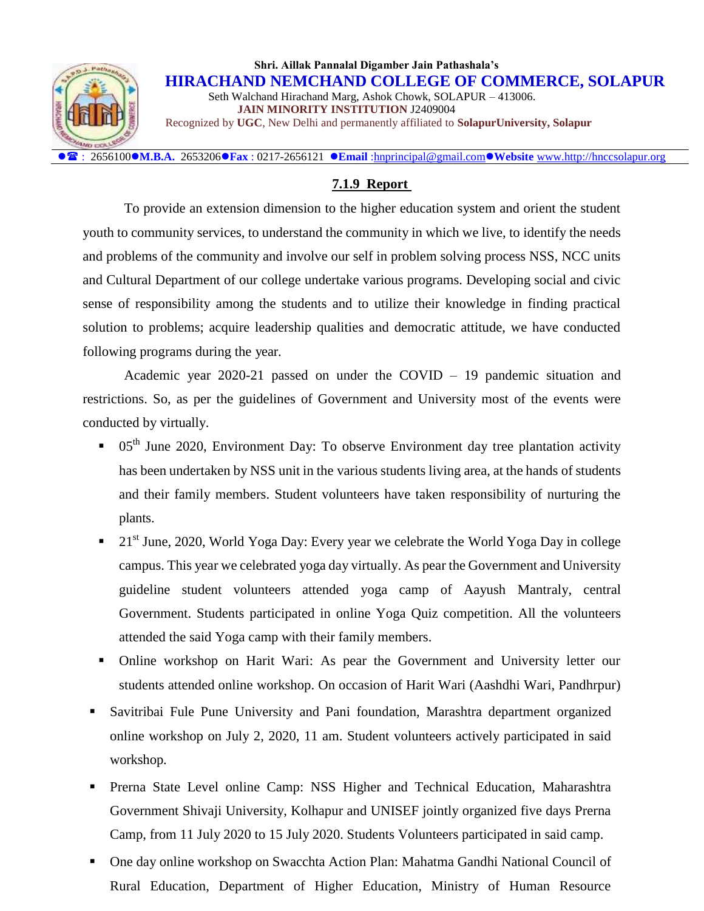

: 2656100**M.B.A.** 2653206**Fax** : 0217-2656121 **Email** [:hnprincipal@gmail.com](mailto:hnprincipal@gmail.com)**Website** [www.http://hnccsolapur.org](http://www.http/hnccsolapur.org)

### **7.1.9 Report**

To provide an extension dimension to the higher education system and orient the student youth to community services, to understand the community in which we live, to identify the needs and problems of the community and involve our self in problem solving process NSS, NCC units and Cultural Department of our college undertake various programs. Developing social and civic sense of responsibility among the students and to utilize their knowledge in finding practical solution to problems; acquire leadership qualities and democratic attitude, we have conducted following programs during the year.

Academic year 2020-21 passed on under the COVID – 19 pandemic situation and restrictions. So, as per the guidelines of Government and University most of the events were conducted by virtually.

- 05<sup>th</sup> June 2020, Environment Day: To observe Environment day tree plantation activity has been undertaken by NSS unit in the various students living area, at the hands of students and their family members. Student volunteers have taken responsibility of nurturing the plants.
- 21<sup>st</sup> June, 2020, World Yoga Day: Every year we celebrate the World Yoga Day in college campus. This year we celebrated yoga day virtually. As pear the Government and University guideline student volunteers attended yoga camp of Aayush Mantraly, central Government. Students participated in online Yoga Quiz competition. All the volunteers attended the said Yoga camp with their family members.
- Online workshop on Harit Wari: As pear the Government and University letter our students attended online workshop. On occasion of Harit Wari (Aashdhi Wari, Pandhrpur)
- Savitribai Fule Pune University and Pani foundation, Marashtra department organized online workshop on July 2, 2020, 11 am. Student volunteers actively participated in said workshop.
- Prerna State Level online Camp: NSS Higher and Technical Education, Maharashtra Government Shivaji University, Kolhapur and UNISEF jointly organized five days Prerna Camp, from 11 July 2020 to 15 July 2020. Students Volunteers participated in said camp.
- One day online workshop on Swacchta Action Plan: Mahatma Gandhi National Council of Rural Education, Department of Higher Education, Ministry of Human Resource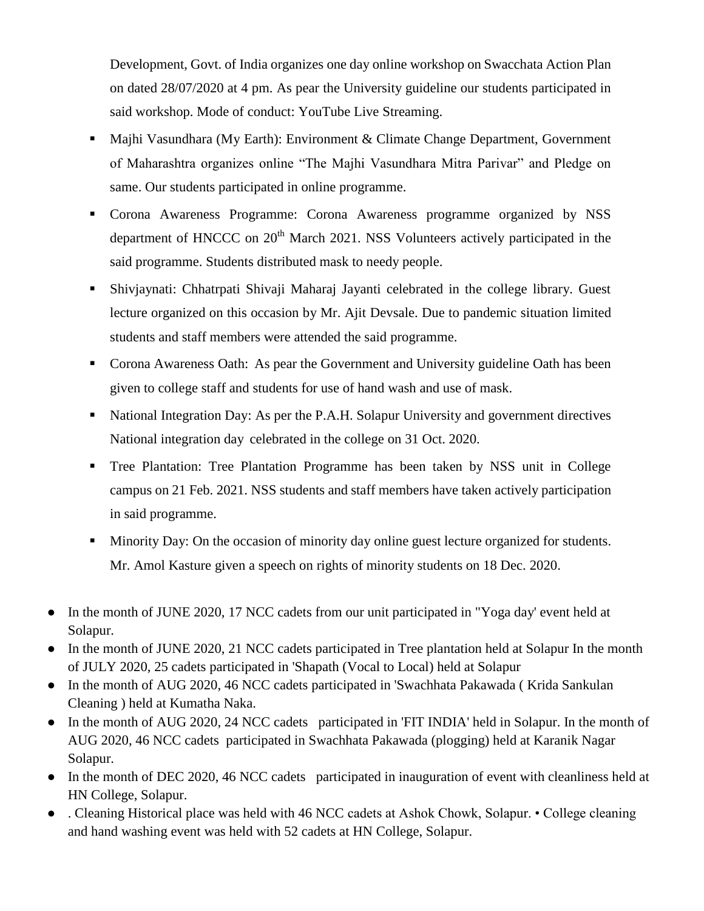Development, Govt. of India organizes one day online workshop on Swacchata Action Plan on dated 28/07/2020 at 4 pm. As pear the University guideline our students participated in said workshop. Mode of conduct: YouTube Live Streaming.

- **Majhi Vasundhara (My Earth): Environment & Climate Change Department, Government** of Maharashtra organizes online "The Majhi Vasundhara Mitra Parivar" and Pledge on same. Our students participated in online programme.
- Corona Awareness Programme: Corona Awareness programme organized by NSS department of HNCCC on  $20<sup>th</sup>$  March 2021. NSS Volunteers actively participated in the said programme. Students distributed mask to needy people.
- Shivjaynati: Chhatrpati Shivaji Maharaj Jayanti celebrated in the college library. Guest lecture organized on this occasion by Mr. Ajit Devsale. Due to pandemic situation limited students and staff members were attended the said programme.
- Corona Awareness Oath: As pear the Government and University guideline Oath has been given to college staff and students for use of hand wash and use of mask.
- National Integration Day: As per the P.A.H. Solapur University and government directives National integration day celebrated in the college on 31 Oct. 2020.
- Tree Plantation: Tree Plantation Programme has been taken by NSS unit in College campus on 21 Feb. 2021. NSS students and staff members have taken actively participation in said programme.
- **Minority Day: On the occasion of minority day online guest lecture organized for students.** Mr. Amol Kasture given a speech on rights of minority students on 18 Dec. 2020.
- In the month of JUNE 2020, 17 NCC cadets from our unit participated in "Yoga day' event held at Solapur.
- In the month of JUNE 2020, 21 NCC cadets participated in Tree plantation held at Solapur In the month of JULY 2020, 25 cadets participated in 'Shapath (Vocal to Local) held at Solapur
- In the month of AUG 2020, 46 NCC cadets participated in 'Swachhata Pakawada (Krida Sankulan Cleaning ) held at Kumatha Naka.
- In the month of AUG 2020, 24 NCC cadets participated in 'FIT INDIA' held in Solapur. In the month of AUG 2020, 46 NCC cadets participated in Swachhata Pakawada (plogging) held at Karanik Nagar Solapur.
- In the month of DEC 2020, 46 NCC cadets participated in inauguration of event with cleanliness held at HN College, Solapur.
- . Cleaning Historical place was held with 46 NCC cadets at Ashok Chowk, Solapur. College cleaning and hand washing event was held with 52 cadets at HN College, Solapur.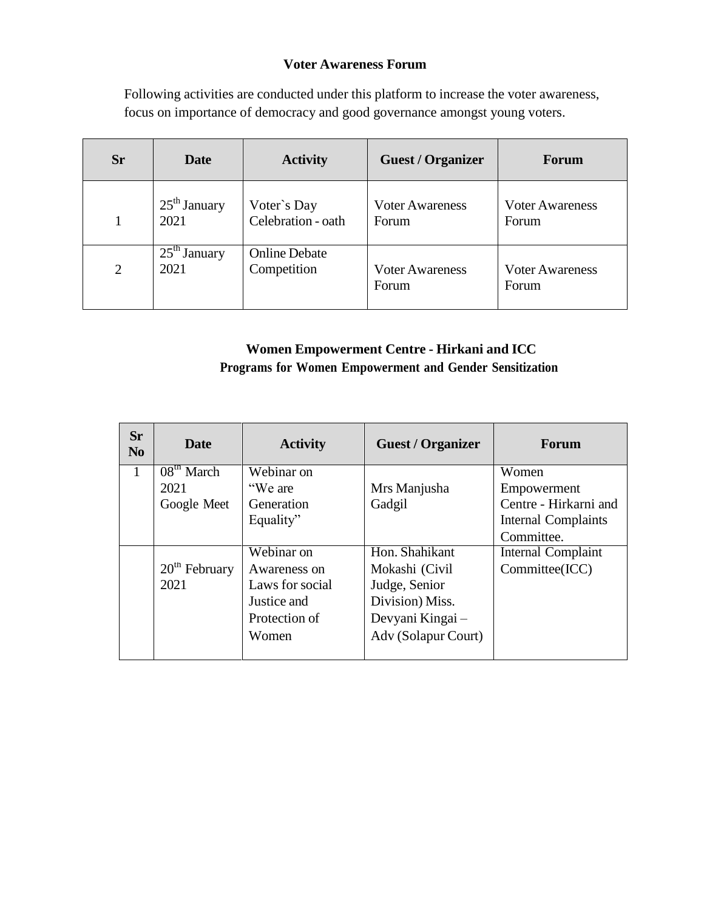#### **Voter Awareness Forum**

Following activities are conducted under this platform to increase the voter awareness, focus on importance of democracy and good governance amongst young voters.

| <b>Sr</b> | Date           | <b>Activity</b>      | <b>Guest / Organizer</b> | Forum                  |
|-----------|----------------|----------------------|--------------------------|------------------------|
|           | $25th$ January | Voter's Day          | <b>Voter Awareness</b>   | <b>Voter Awareness</b> |
|           | 2021           | Celebration - oath   | <b>Forum</b>             | Forum                  |
| 2         | $25th$ January | <b>Online Debate</b> | <b>Voter Awareness</b>   | <b>Voter Awareness</b> |
|           | 2021           | Competition          | Forum                    | Forum                  |

# **Women Empowerment Centre - Hirkani and ICC Programs for Women Empowerment and Gender Sensitization**

| <b>Sr</b><br>N <sub>0</sub> | Date                   | <b>Activity</b> | <b>Guest / Organizer</b> | <b>Forum</b>               |
|-----------------------------|------------------------|-----------------|--------------------------|----------------------------|
| 1                           | 08 <sup>tn</sup> March | Webinar on      |                          | Women                      |
|                             | 2021                   | "We are         | Mrs Manjusha             | Empowerment                |
|                             | Google Meet            | Generation      | Gadgil                   | Centre - Hirkarni and      |
|                             |                        | Equality"       |                          | <b>Internal Complaints</b> |
|                             |                        |                 |                          | Committee.                 |
|                             |                        | Webinar on      | Hon. Shahikant           | Internal Complaint         |
|                             | $20th$ February        | Awareness on    | Mokashi (Civil           | Committee(ICC)             |
|                             | 2021                   | Laws for social | Judge, Senior            |                            |
|                             |                        | Justice and     | Division) Miss.          |                            |
|                             |                        | Protection of   | Devyani Kingai –         |                            |
|                             |                        | Women           | Adv (Solapur Court)      |                            |
|                             |                        |                 |                          |                            |